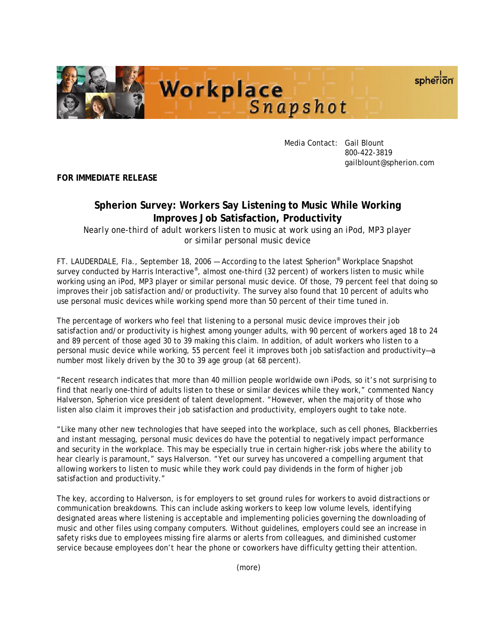



 Media Contact: Gail Blount 800-422-3819 gailblount@spherion.com

**FOR IMMEDIATE RELEASE**

## **Spherion Survey: Workers Say Listening to Music While Working Improves Job Satisfaction, Productivity**

*Nearly one-third of adult workers listen to music at work using an iPod, MP3 player or similar personal music device* 

FT. LAUDERDALE, Fla., September 18, 2006 — According to the latest Spherion® Workplace Snapshot survey conducted by Harris Interactive<sup>®</sup>, almost one-third (32 percent) of workers listen to music while working using an iPod, MP3 player or similar personal music device. Of those, 79 percent feel that doing so improves their job satisfaction and/or productivity. The survey also found that 10 percent of adults who use personal music devices while working spend more than 50 percent of their time tuned in.

The percentage of workers who feel that listening to a personal music device improves their job satisfaction and/or productivity is highest among younger adults, with 90 percent of workers aged 18 to 24 and 89 percent of those aged 30 to 39 making this claim. In addition, of adult workers who listen to a personal music device while working, 55 percent feel it improves *both* job satisfaction and productivity—a number most likely driven by the 30 to 39 age group (at 68 percent).

"Recent research indicates that more than 40 million people worldwide own iPods, so it's not surprising to find that nearly one-third of adults listen to these or similar devices while they work," commented Nancy Halverson, Spherion vice president of talent development. "However, when the majority of those who listen also claim it improves their job satisfaction and productivity, employers ought to take note.

"Like many other new technologies that have seeped into the workplace, such as cell phones, Blackberries and instant messaging, personal music devices do have the potential to negatively impact performance and security in the workplace. This may be especially true in certain higher-risk jobs where the ability to hear clearly is paramount," says Halverson. "Yet our survey has uncovered a compelling argument that allowing workers to listen to music while they work could pay dividends in the form of higher job satisfaction and productivity."

The key, according to Halverson, is for employers to set ground rules for workers to avoid distractions or communication breakdowns. This can include asking workers to keep low volume levels, identifying designated areas where listening is acceptable and implementing policies governing the downloading of music and other files using company computers. Without guidelines, employers could see an increase in safety risks due to employees missing fire alarms or alerts from colleagues, and diminished customer service because employees don't hear the phone or coworkers have difficulty getting their attention.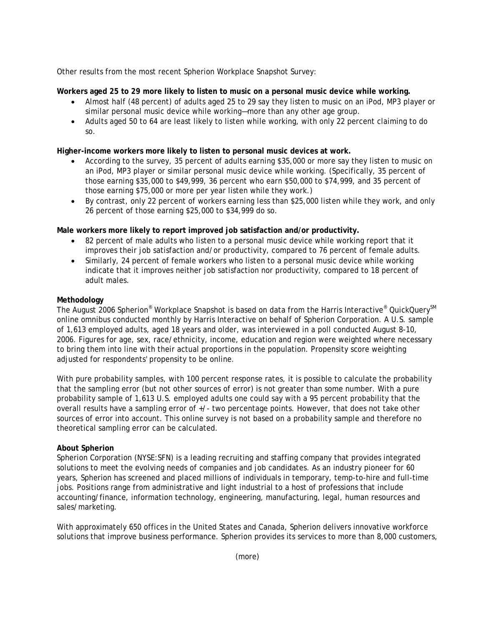Other results from the most recent Spherion Workplace Snapshot Survey:

**Workers aged 25 to 29 more likely to listen to music on a personal music device while working.** 

- Almost half (48 percent) of adults aged 25 to 29 say they listen to music on an iPod, MP3 player or similar personal music device while working—more than any other age group.
- Adults aged 50 to 64 are least likely to listen while working, with only 22 percent claiming to do so.

**Higher-income workers more likely to listen to personal music devices at work.** 

- According to the survey, 35 percent of adults earning \$35,000 or more say they listen to music on an iPod, MP3 player or similar personal music device while working. (Specifically, 35 percent of those earning \$35,000 to \$49,999, 36 percent who earn \$50,000 to \$74,999, and 35 percent of those earning \$75,000 or more per year listen while they work.)
- By contrast, only 22 percent of workers earning less than \$25,000 listen while they work, and only 26 percent of those earning \$25,000 to \$34,999 do so.

**Male workers more likely to report improved job satisfaction and/or productivity.** 

- 82 percent of male adults who listen to a personal music device while working report that it improves their job satisfaction and/or productivity, compared to 76 percent of female adults.
- Similarly, 24 percent of female workers who listen to a personal music device while working indicate that it improves neither job satisfaction nor productivity, compared to 18 percent of adult males.

## **Methodology**

The August 2006 Spherion® Workplace Snapshot is based on data from the Harris Interactive® QuickQuery<sup>SM</sup> online omnibus conducted monthly by Harris Interactive on behalf of Spherion Corporation. A U.S. sample of 1,613 employed adults, aged 18 years and older, was interviewed in a poll conducted August 8-10, 2006. Figures for age, sex, race/ethnicity, income, education and region were weighted where necessary to bring them into line with their actual proportions in the population. Propensity score weighting adjusted for respondents' propensity to be online.

With pure probability samples, with 100 percent response rates, it is possible to calculate the probability that the sampling error (but not other sources of error) is not greater than some number. With a pure probability sample of 1,613 U.S. employed adults one could say with a 95 percent probability that the overall results have a sampling error of +/- two percentage points. However, that does not take other sources of error into account. This online survey is not based on a probability sample and therefore no theoretical sampling error can be calculated.

## **About Spherion**

Spherion Corporation (NYSE:SFN) is a leading recruiting and staffing company that provides integrated solutions to meet the evolving needs of companies and job candidates. As an industry pioneer for 60 years, Spherion has screened and placed millions of individuals in temporary, temp-to-hire and full-time jobs. Positions range from administrative and light industrial to a host of professions that include accounting/finance, information technology, engineering, manufacturing, legal, human resources and sales/marketing.

With approximately 650 offices in the United States and Canada, Spherion delivers innovative workforce solutions that improve business performance. Spherion provides its services to more than 8,000 customers,